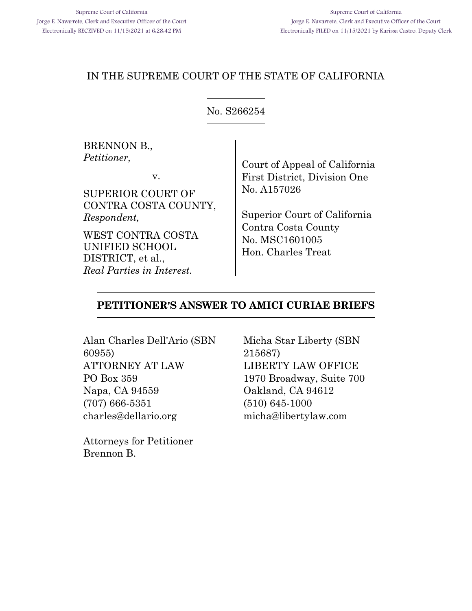## <span id="page-0-0"></span>IN THE SUPREME COURT OF THE STATE OF CALIFORNIA

## No. S266254

BRENNON B., *Petitioner,*

v.

SUPERIOR COURT OF CONTRA COSTA COUNTY, *Respondent,*

WEST CONTRA COSTA UNIFIED SCHOOL DISTRICT, et al., *Real Parties in Interest.*

Court of Appeal of California First District, Division One No. A157026

Superior Court of California Contra Costa County No. MSC1601005 Hon. Charles Treat

### **PETITIONER'S ANSWER TO AMICI CURIAE BRIEFS**

Alan Charles Dell'Ario (SBN 60955) ATTORNEY AT LAW PO Box 359 Napa, CA 94559 (707) 666-5351 charles@dellario.org

Attorneys for Petitioner Brennon B.

Micha Star Liberty (SBN 215687) LIBERTY LAW OFFICE 1970 Broadway, Suite 700 Oakland, CA 94612 (510) 645-1000 micha@libertylaw.com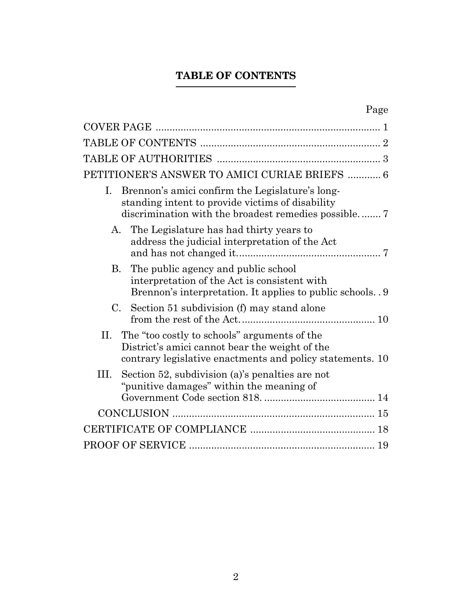# **TABLE OF CONTENTS**

<span id="page-1-0"></span>

|      | PETITIONER'S ANSWER TO AMICI CURIAE BRIEFS  6                                                                                                               |
|------|-------------------------------------------------------------------------------------------------------------------------------------------------------------|
| Ι.   | Brennon's amici confirm the Legislature's long-<br>standing intent to provide victims of disability                                                         |
| А.   | The Legislature has had thirty years to<br>address the judicial interpretation of the Act                                                                   |
| В.   | The public agency and public school<br>interpretation of the Act is consistent with<br>Brennon's interpretation. It applies to public schools. 9            |
|      | C. Section 51 subdivision (f) may stand alone                                                                                                               |
| П.   | The "too costly to schools" arguments of the<br>District's amici cannot bear the weight of the<br>contrary legislative enactments and policy statements. 10 |
| III. | Section 52, subdivision (a)'s penalties are not<br>"punitive damages" within the meaning of                                                                 |
|      |                                                                                                                                                             |
|      |                                                                                                                                                             |
|      |                                                                                                                                                             |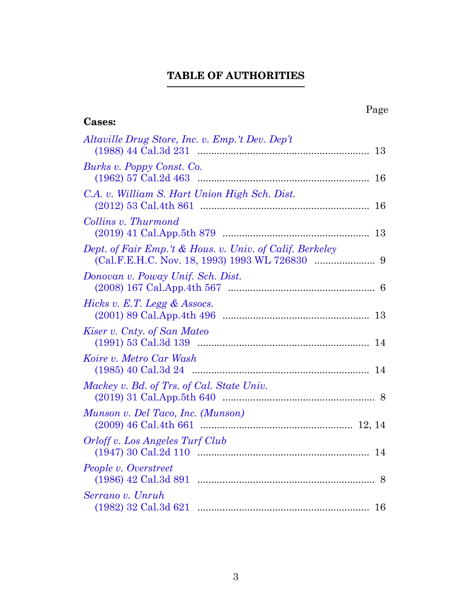# **TABLE OF AUTHORITIES**

<span id="page-2-0"></span>

| Page<br><b>Cases:</b>                                    |
|----------------------------------------------------------|
| Altaville Drug Store, Inc. v. Emp.'t Dev. Dep't          |
| Burks v. Poppy Const. Co.                                |
| C.A. v. William S. Hart Union High Sch. Dist.            |
| Collins v. Thurmond                                      |
| Dept. of Fair Emp.'t & Hous. v. Univ. of Calif. Berkeley |
| Donovan v. Poway Unif. Sch. Dist.                        |
| Hicks v. E.T. Legg & Assocs.                             |
| Kiser v. Cnty. of San Mateo                              |
| Koire v. Metro Car Wash                                  |
| Mackey v. Bd. of Trs. of Cal. State Univ.                |
| Munson v. Del Taco, Inc. (Munson)                        |
| Orloff v. Los Angeles Turf Club<br>14                    |
| People v. Overstreet                                     |
| Serrano v. Unruh<br>16                                   |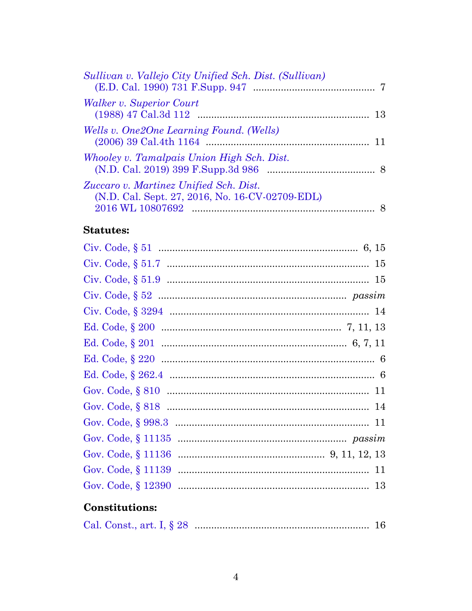| <i>Walker v. Superior Court</i><br>Wells v. One2One Learning Found. (Wells)<br>Whooley v. Tamalpais Union High Sch. Dist.<br>Zuccaro v. Martinez Unified Sch. Dist.<br>(N.D. Cal. Sept. 27, 2016, No. 16-CV-02709-EDL)<br><b>Statutes:</b> | Sullivan v. Vallejo City Unified Sch. Dist. (Sullivan) |  |
|--------------------------------------------------------------------------------------------------------------------------------------------------------------------------------------------------------------------------------------------|--------------------------------------------------------|--|
|                                                                                                                                                                                                                                            |                                                        |  |
|                                                                                                                                                                                                                                            |                                                        |  |
|                                                                                                                                                                                                                                            |                                                        |  |
|                                                                                                                                                                                                                                            |                                                        |  |
|                                                                                                                                                                                                                                            |                                                        |  |
|                                                                                                                                                                                                                                            |                                                        |  |

# **Constitutions:**

|--|--|--|--|--|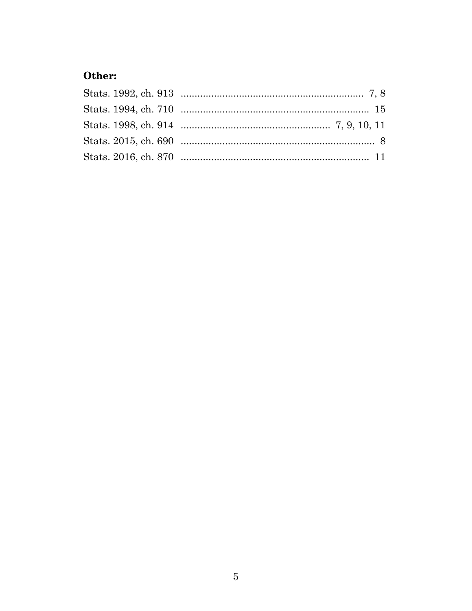# Other: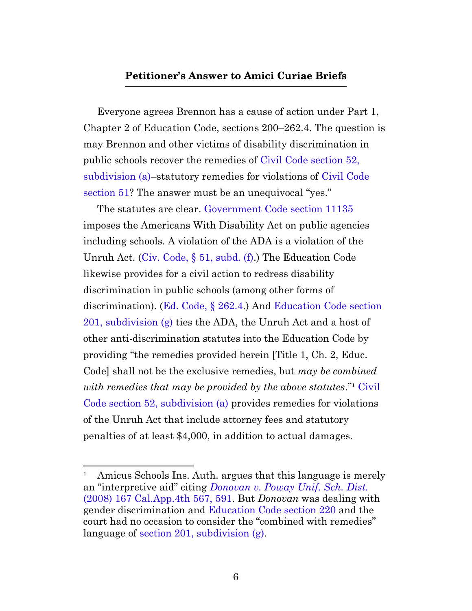## **Petitioner's Answer to Amici Curiae Briefs**

<span id="page-5-0"></span>Everyone agrees Brennon has a cause of action under Part 1, Chapter 2 of Education Code, sections 200–262.4. The question is may Brennon and other victims of disability discrimination in public schools recover the remedies of [Civil Code section 52,](https://leginfo.legislature.ca.gov/faces/codes_displaySection.xhtml?sectionNum=52.&lawCode=CIV) [subdivision \(a\)–](https://leginfo.legislature.ca.gov/faces/codes_displaySection.xhtml?sectionNum=52.&lawCode=CIV)statutory remedies for violations of [Civil Code](https://leginfo.legislature.ca.gov/faces/codes_displaySection.xhtml?sectionNum=51.&lawCode=CIV) [section 51?](https://leginfo.legislature.ca.gov/faces/codes_displaySection.xhtml?sectionNum=51.&lawCode=CIV) The answer must be an unequivocal "yes."

The statutes are clear. [Government Code section 11135](https://leginfo.legislature.ca.gov/faces/codes_displaySection.xhtml?sectionNum=11135.&lawCode=GOV) imposes the Americans With Disability Act on public agencies including schools. A violation of the ADA is a violation of the Unruh Act. ([Civ. Code, §](https://leginfo.legislature.ca.gov/faces/codes_displaySection.xhtml?sectionNum=51.&lawCode=CIV) 51, subd. (f).) The Education Code likewise provides for a civil action to redress disability discrimination in public schools (among other forms of discrimination). ([Ed. Code, §](https://leginfo.legislature.ca.gov/faces/codes_displaySection.xhtml?sectionNum=262.4.&lawCode=EDC) 262.4.) And [Education Code section](https://leginfo.legislature.ca.gov/faces/codes_displaySection.xhtml?sectionNum=201.&lawCode=EDC) [201, subdivision \(g\)](https://leginfo.legislature.ca.gov/faces/codes_displaySection.xhtml?sectionNum=201.&lawCode=EDC) ties the ADA, the Unruh Act and a host of other anti-discrimination statutes into the Education Code by providing "the remedies provided herein [Title 1, Ch. 2, Educ. Code] shall not be the exclusive remedies, but *may be combined* with remedies that may be provided by the above statutes."<sup>1</sup> [Civil](https://leginfo.legislature.ca.gov/faces/codes_displaySection.xhtml?sectionNum=52.&lawCode=CIV) [Code section 52, subdivision \(a\)](https://leginfo.legislature.ca.gov/faces/codes_displaySection.xhtml?sectionNum=52.&lawCode=CIV) provides remedies for violations of the Unruh Act that include attorney fees and statutory penalties of at least \$4,000, in addition to actual damages.

<sup>&</sup>lt;sup>1</sup> Amicus Schools Ins. Auth. argues that this language is merely an "interpretive aid" citing *[Donovan v. Poway Unif. Sch. Dist.](https://casetext.com/case/donovan-v-poway-unified-school-dist#p591)* [\(2008\) 167 Cal.App.4th 567, 591](https://casetext.com/case/donovan-v-poway-unified-school-dist#p591). But *Donovan* was dealing with gender discrimination and [Education Code section 220](https://leginfo.legislature.ca.gov/faces/codes_displaySection.xhtml?sectionNum=220.&lawCode=EDC) and the court had no occasion to consider the "combined with remedies" language of [section 201, subdivision \(g\).](https://leginfo.legislature.ca.gov/faces/codes_displaySection.xhtml?sectionNum=201.&lawCode=EDC)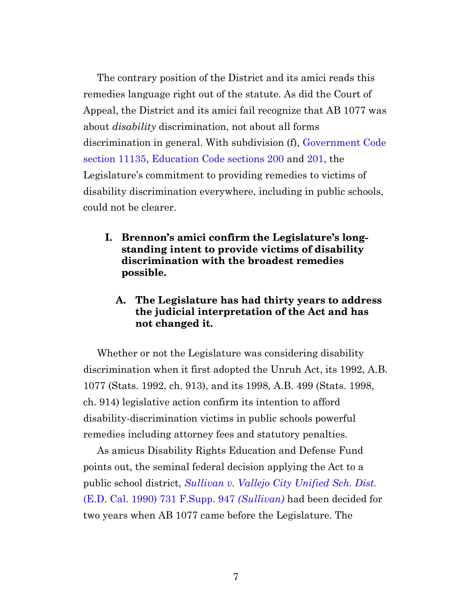The contrary position of the District and its amici reads this remedies language right out of the statute. As did the Court of Appeal, the District and its amici fail recognize that AB 1077 was about *disability* discrimination, not about all forms discrimination in general. With subdivision (f), [Government Code](https://leginfo.legislature.ca.gov/faces/codes_displaySection.xhtml?sectionNum=11135.&lawCode=GOV) [section 11135,](https://leginfo.legislature.ca.gov/faces/codes_displaySection.xhtml?sectionNum=11135.&lawCode=GOV) [Education Code sections 200](https://leginfo.legislature.ca.gov/faces/codes_displaySection.xhtml?sectionNum=200.&lawCode=EDC) and [201](https://leginfo.legislature.ca.gov/faces/codes_displaySection.xhtml?sectionNum=201.&lawCode=EDC), the Legislature's commitment to providing remedies to victims of disability discrimination everywhere, including in public schools, could not be clearer.

<span id="page-6-0"></span>**I. Brennon's amici confirm the Legislature's longstanding intent to provide victims of disability discrimination with the broadest remedies possible.**

## **A. The Legislature has had thirty years to address the judicial interpretation of the Act and has not changed it.**

<span id="page-6-2"></span><span id="page-6-1"></span>Whether or not the Legislature was considering disability discrimination when it first adopted the Unruh Act, its 1992, A.B. 1077 (Stats. 1992, ch. 913), and its 1998, A.B. 499 (Stats. 1998, ch. 914) legislative action confirm its intention to afford disability-discrimination victims in public schools powerful remedies including attorney fees and statutory penalties.

As amicus Disability Rights Education and Defense Fund points out, the seminal federal decision applying the Act to a public school district, *[Sullivan v. Vallejo City Unified Sch. Dist.](https://casetext.com/case/sullivan-v-vallejo-city-unified-school)* [\(E.D. Cal. 1990\) 731 F.Supp. 947](https://casetext.com/case/sullivan-v-vallejo-city-unified-school) *(Sullivan)* had been decided for two years when AB 1077 came before the Legislature. The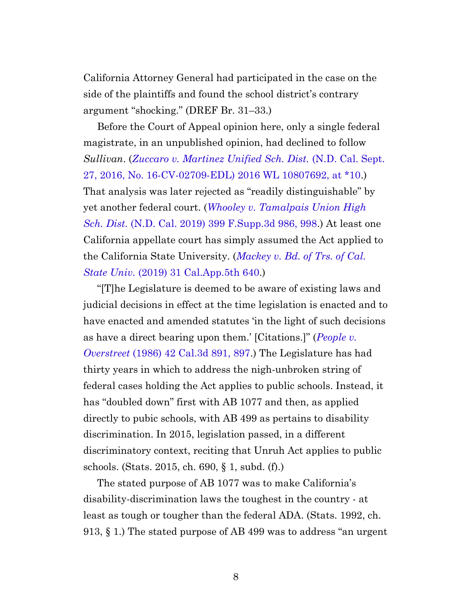California Attorney General had participated in the case on the side of the plaintiffs and found the school district's contrary argument "shocking." (DREF Br. 31–33.)

Before the Court of Appeal opinion here, only a single federal magistrate, in an unpublished opinion, had declined to follow *Sullivan*. (*[Zuccaro v. Martinez Unified Sch. Dist.](https://www.westlaw.com/Document/I218900c0005f11e8b565bb5dd3180177/View/FullText.html?transitionType=Default&contextData=(sc.Default)&VR=3.0&RS=cblt1.0#p10)* (N.D. Cal. Sept. [27, 2016, No. 16-CV-02709-EDL\) 2016 WL 10807692, at \\*10](https://www.westlaw.com/Document/I218900c0005f11e8b565bb5dd3180177/View/FullText.html?transitionType=Default&contextData=(sc.Default)&VR=3.0&RS=cblt1.0#p10).) That analysis was later rejected as "readily distinguishable" by yet another federal court. (*[Whooley v. Tamalpais Union High](https://casetext.com/case/whooley-v-tamalpais-union-high-sch-dist#p998) Sch. Dist.* [\(N.D. Cal. 2019\) 399 F.Supp.3d 986, 998](https://casetext.com/case/whooley-v-tamalpais-union-high-sch-dist#p998).) At least one California appellate court has simply assumed the Act applied to the California State University. (*[Mackey v. Bd. of Trs. of Cal.](https://casetext.com/case/mackey-v-bd-of-trs-of-the-cal-state-univ) State Univ.* [\(2019\) 31 Cal.App.5th 640.](https://casetext.com/case/mackey-v-bd-of-trs-of-the-cal-state-univ))

"[T]he Legislature is deemed to be aware of existing laws and judicial decisions in effect at the time legislation is enacted and to have enacted and amended statutes 'in the light of such decisions as have a direct bearing upon them.' [Citations.]" (*[People v.](https://casetext.com/case/people-v-overstreet#p897) Overstreet* [\(1986\) 42 Cal.3d 891, 897.](https://casetext.com/case/people-v-overstreet#p897)) The Legislature has had thirty years in which to address the nigh-unbroken string of federal cases holding the Act applies to public schools. Instead, it has "doubled down" first with AB 1077 and then, as applied directly to pubic schools, with AB 499 as pertains to disability discrimination. In 2015, legislation passed, in a different discriminatory context, reciting that Unruh Act applies to public schools. (Stats. 2015, ch. 690, § 1, subd. (f).)

<span id="page-7-0"></span>The stated purpose of AB 1077 was to make California's disability-discrimination laws the toughest in the country - at least as tough or tougher than the federal ADA. (Stats. 1992, ch. 913, § 1.) The stated purpose of AB 499 was to address "an urgent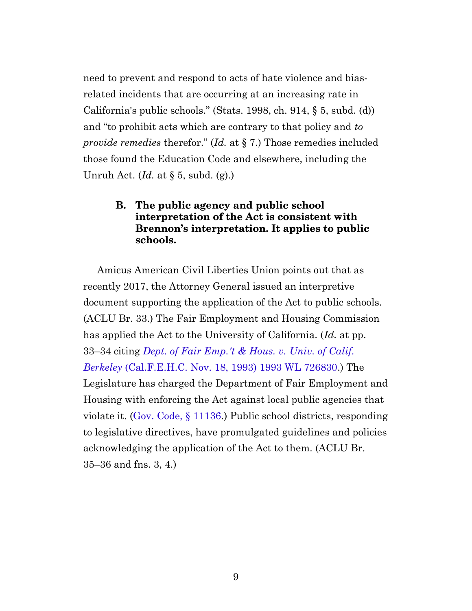need to prevent and respond to acts of hate violence and biasrelated incidents that are occurring at an increasing rate in California's public schools." (Stats. 1998, ch. 914, § 5, subd. (d)) and "to prohibit acts which are contrary to that policy and *to provide remedies* therefor." (*Id.* at § 7.) Those remedies included those found the Education Code and elsewhere, including the Unruh Act. (*Id.* at § 5, subd. (g).)

## **B. The public agency and public school interpretation of the Act is consistent with Brennon's interpretation. It applies to public schools.**

<span id="page-8-0"></span>Amicus American Civil Liberties Union points out that as recently 2017, the Attorney General issued an interpretive document supporting the application of the Act to public schools. (ACLU Br. 33.) The Fair Employment and Housing Commission has applied the Act to the University of California. (*Id.* at pp. 33–34 citing *[Dept. of Fair Emp.'t & Hous. v. Univ. of Calif.](https://www.westlaw.com/Document/Ib177b8c1d3bb11db8177e57198b88e43/View/FullText.html?transitionType=Default&contextData=(sc.Default)&VR=3.0&RS=cblt1.0) Berkeley* [\(Cal.F.E.H.C. Nov. 18, 1993\) 1993 WL 726830.](https://www.westlaw.com/Document/Ib177b8c1d3bb11db8177e57198b88e43/View/FullText.html?transitionType=Default&contextData=(sc.Default)&VR=3.0&RS=cblt1.0)) The Legislature has charged the Department of Fair Employment and Housing with enforcing the Act against local public agencies that violate it. ([Gov. Code, §](https://leginfo.legislature.ca.gov/faces/codes_displaySection.xhtml?sectionNum=11136.&lawCode=GOV) 11136.) Public school districts, responding to legislative directives, have promulgated guidelines and policies acknowledging the application of the Act to them. (ACLU Br. 35–36 and fns. 3, 4.)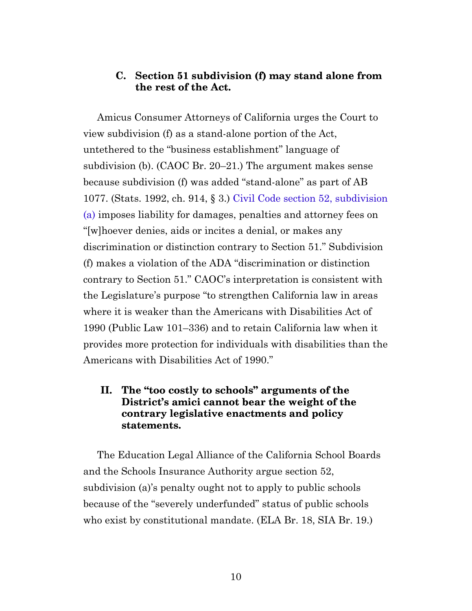### **C. Section 51 subdivision (f) may stand alone from the rest of the Act.**

<span id="page-9-0"></span>Amicus Consumer Attorneys of California urges the Court to view subdivision (f) as a stand-alone portion of the Act, untethered to the "business establishment" language of subdivision (b). (CAOC Br. 20–21.) The argument makes sense because subdivision (f) was added "stand-alone" as part of AB 1077. (Stats. 1992, ch. 914, § 3.) [Civil Code section 52, subdivision](https://leginfo.legislature.ca.gov/faces/codes_displaySection.xhtml?sectionNum=52.&lawCode=CIV) [\(a\)](https://leginfo.legislature.ca.gov/faces/codes_displaySection.xhtml?sectionNum=52.&lawCode=CIV) imposes liability for damages, penalties and attorney fees on "[w]hoever denies, aids or incites a denial, or makes any discrimination or distinction contrary to Section 51." Subdivision (f) makes a violation of the ADA "discrimination or distinction contrary to Section 51." CAOC's interpretation is consistent with the Legislature's purpose "to strengthen California law in areas where it is weaker than the Americans with Disabilities Act of 1990 (Public Law 101–336) and to retain California law when it provides more protection for individuals with disabilities than the Americans with Disabilities Act of 1990."

## <span id="page-9-1"></span>**II. The "too costly to schools" arguments of the District's amici cannot bear the weight of the contrary legislative enactments and policy statements.**

The Education Legal Alliance of the California School Boards and the Schools Insurance Authority argue section 52, subdivision (a)'s penalty ought not to apply to public schools because of the "severely underfunded" status of public schools who exist by constitutional mandate. (ELA Br. 18, SIA Br. 19.)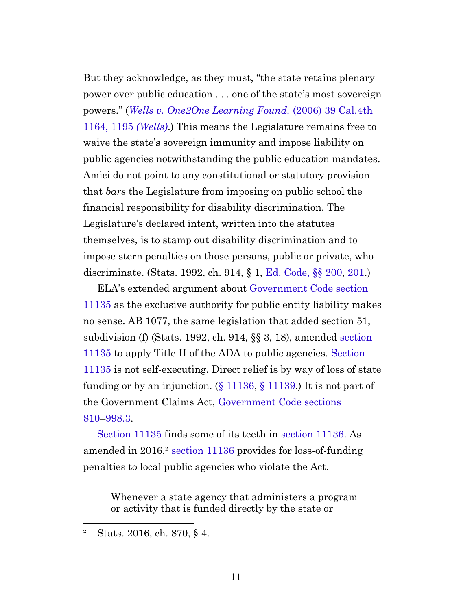But they acknowledge, as they must, "the state retains plenary power over public education . . . one of the state's most sovereign powers." (*[Wells v. One2One Learning Found.](https://casetext.com/case/wells-v-one2one-learning#p1195)* (2006) 39 Cal.4th [1164, 1195](https://casetext.com/case/wells-v-one2one-learning#p1195) *(Wells)*.) This means the Legislature remains free to waive the state's sovereign immunity and impose liability on public agencies notwithstanding the public education mandates. Amici do not point to any constitutional or statutory provision that *bars* the Legislature from imposing on public school the financial responsibility for disability discrimination. The Legislature's declared intent, written into the statutes themselves, is to stamp out disability discrimination and to impose stern penalties on those persons, public or private, who discriminate. (Stats. 1992, ch. 914, § 1, [Ed. Code, §§](https://leginfo.legislature.ca.gov/faces/codes_displaySection.xhtml?sectionNum=200.&lawCode=EDC) 200, [201.](https://leginfo.legislature.ca.gov/faces/codes_displaySection.xhtml?sectionNum=201.&lawCode=EDC))

ELA's extended argument about [Government Code section](https://leginfo.legislature.ca.gov/faces/codes_displaySection.xhtml?sectionNum=11135.&lawCode=GOV) [11135](https://leginfo.legislature.ca.gov/faces/codes_displaySection.xhtml?sectionNum=11135.&lawCode=GOV) as the exclusive authority for public entity liability makes no sense. AB 1077, the same legislation that added section 51, subdivision (f) (Stats. 1992, ch. 914, §§ 3, 18), amended [section](https://leginfo.legislature.ca.gov/faces/codes_displaySection.xhtml?sectionNum=11135.&lawCode=GOV) [11135](https://leginfo.legislature.ca.gov/faces/codes_displaySection.xhtml?sectionNum=11135.&lawCode=GOV) to apply Title II of the ADA to public agencies. [Section](https://leginfo.legislature.ca.gov/faces/codes_displaySection.xhtml?sectionNum=11135.&lawCode=GOV) [11135](https://leginfo.legislature.ca.gov/faces/codes_displaySection.xhtml?sectionNum=11135.&lawCode=GOV) is not self-executing. Direct relief is by way of loss of state funding or by an injunction. (§ [11136,](https://leginfo.legislature.ca.gov/faces/codes_displaySection.xhtml?sectionNum=11136.&lawCode=GOV) § [11139](https://leginfo.legislature.ca.gov/faces/codes_displaySection.xhtml?sectionNum=11139.&lawCode=GOV).) It is not part of the Government Claims Act, [Government Code sections](https://leginfo.legislature.ca.gov/faces/codes_displaySection.xhtml?sectionNum=810.&lawCode=GOV) [810–](https://leginfo.legislature.ca.gov/faces/codes_displaySection.xhtml?sectionNum=810.&lawCode=GOV)[998.3](https://leginfo.legislature.ca.gov/faces/codes_displaySection.xhtml?sectionNum=998.3.&lawCode=GOV).

[Section 11135](https://leginfo.legislature.ca.gov/faces/codes_displaySection.xhtml?sectionNum=11135.&lawCode=GOV) finds some of its teeth in [section 11136](https://leginfo.legislature.ca.gov/faces/codes_displaySection.xhtml?sectionNum=11136.&lawCode=GOV). As amended in 2016,² [section 11136](https://leginfo.legislature.ca.gov/faces/codes_displaySection.xhtml?sectionNum=11136.&lawCode=GOV) provides for loss-of-funding penalties to local public agencies who violate the Act.

Whenever a state agency that administers a program or activity that is funded directly by the state or

<span id="page-10-0"></span>² Stats. 2016, ch. 870, § 4.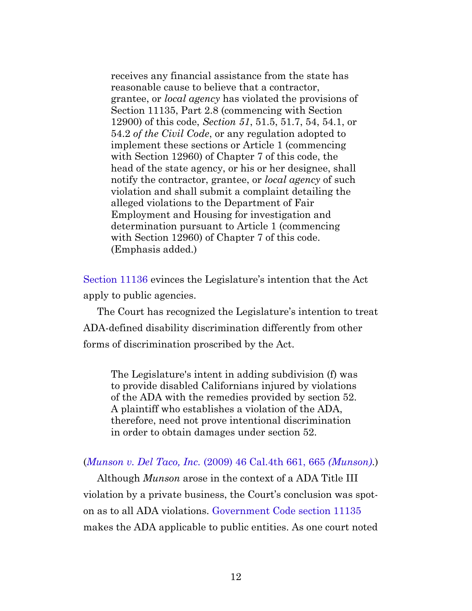receives any financial assistance from the state has reasonable cause to believe that a contractor, grantee, or *local agency* has violated the provisions of Section 11135, Part 2.8 (commencing with Section 12900) of this code, *Section 51*, 51.5, 51.7, 54, 54.1, or 54.2 *of the Civil Code*, or any regulation adopted to implement these sections or Article 1 (commencing with Section 12960) of Chapter 7 of this code, the head of the state agency, or his or her designee, shall notify the contractor, grantee, or *local agency* of such violation and shall submit a complaint detailing the alleged violations to the Department of Fair Employment and Housing for investigation and determination pursuant to Article 1 (commencing with Section 12960) of Chapter 7 of this code. (Emphasis added.)

[Section 11136](https://leginfo.legislature.ca.gov/faces/codes_displaySection.xhtml?sectionNum=11136.&lawCode=GOV) evinces the Legislature's intention that the Act apply to public agencies.

The Court has recognized the Legislature's intention to treat ADA-defined disability discrimination differently from other forms of discrimination proscribed by the Act.

The Legislature's intent in adding subdivision (f) was to provide disabled Californians injured by violations of the ADA with the remedies provided by section 52. A plaintiff who establishes a violation of the ADA, therefore, need not prove intentional discrimination in order to obtain damages under section 52.

#### (*Munson v. Del Taco, Inc.* [\(2009\) 46 Cal.4th 661, 665](https://casetext.com/case/munson-v-del-taco#p665) *(Munson)*.)

Although *Munson* arose in the context of a ADA Title III violation by a private business, the Court's conclusion was spoton as to all ADA violations. [Government Code section 11135](https://leginfo.legislature.ca.gov/faces/codes_displaySection.xhtml?sectionNum=11135.&lawCode=GOV) makes the ADA applicable to public entities. As one court noted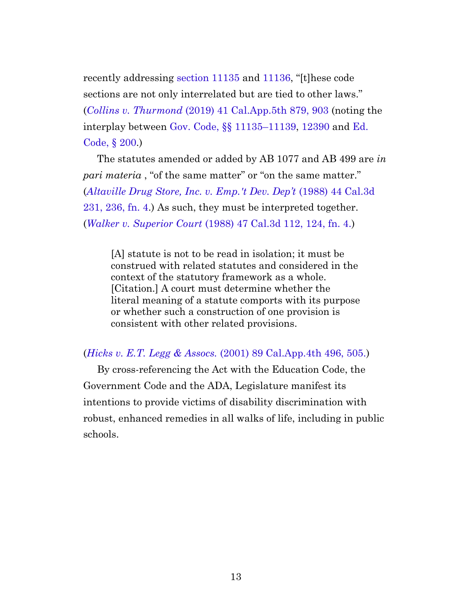recently addressing [section 11135](https://leginfo.legislature.ca.gov/faces/codes_displaySection.xhtml?sectionNum=11135.&lawCode=GOV) and [11136,](https://leginfo.legislature.ca.gov/faces/codes_displaySection.xhtml?sectionNum=11136.&lawCode=GOV) "[t]hese code sections are not only interrelated but are tied to other laws." (*Collins v. Thurmond* [\(2019\) 41 Cal.App.5th 879, 903](https://casetext.com/case/collins-v-thurmond-1#p903) (noting the interplay between [Gov. Code, §§](https://leginfo.legislature.ca.gov/faces/codes_displaySection.xhtml?sectionNum=11135.&lawCode=GOV) 11135–11139, [12390](https://leginfo.legislature.ca.gov/faces/codes_displaySection.xhtml?sectionNum=12390.&lawCode=GOV) and [Ed.](https://leginfo.legislature.ca.gov/faces/codes_displaySection.xhtml?sectionNum=200.&lawCode=EDC) [Code, §](https://leginfo.legislature.ca.gov/faces/codes_displaySection.xhtml?sectionNum=200.&lawCode=EDC) 200.)

The statutes amended or added by AB 1077 and AB 499 are *in pari materia*, "of the same matter" or "on the same matter." (*[Altaville Drug Store, Inc. v. Emp.'t Dev. Dep't](https://casetext.com/case/altaville-drug-store-v-employment-development-dept#p236)* (1988) 44 Cal.3d [231, 236, fn. 4.](https://casetext.com/case/altaville-drug-store-v-employment-development-dept#p236)) As such, they must be interpreted together. (*Walker v. Superior Court* [\(1988\) 47 Cal.3d 112, 124, fn. 4.](https://casetext.com/case/walker-v-superior-court#p124))

[A] statute is not to be read in isolation; it must be construed with related statutes and considered in the context of the statutory framework as a whole. [Citation.] A court must determine whether the literal meaning of a statute comports with its purpose or whether such a construction of one provision is consistent with other related provisions.

#### (*Hicks v. E.T. Legg & Assocs.* [\(2001\) 89 Cal.App.4th 496, 505.](https://casetext.com/case/hicks-v-et-legg-associates#p505))

By cross-referencing the Act with the Education Code, the Government Code and the ADA, Legislature manifest its intentions to provide victims of disability discrimination with robust, enhanced remedies in all walks of life, including in public schools.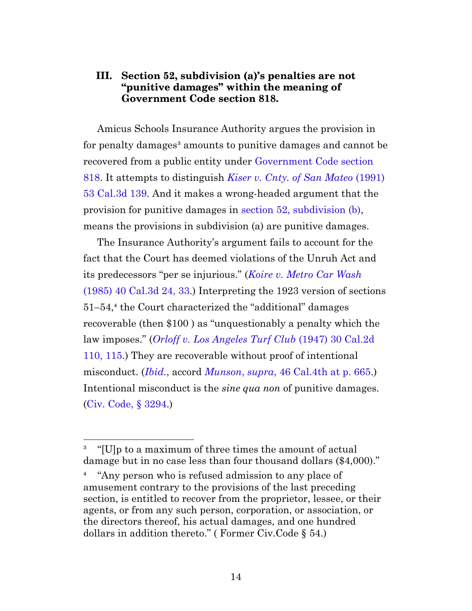## <span id="page-13-0"></span>**III. Section 52, subdivision (a)'s penalties are not "punitive damages" within the meaning of Government Code section 818.**

Amicus Schools Insurance Authority argues the provision in for penalty damages<sup>3</sup> amounts to punitive damages and cannot be recovered from a public entity under [Government Code section](https://leginfo.legislature.ca.gov/faces/codes_displaySection.xhtml?sectionNum=818.&lawCode=GOV) [818.](https://leginfo.legislature.ca.gov/faces/codes_displaySection.xhtml?sectionNum=818.&lawCode=GOV) It attempts to distinguish *[Kiser v. Cnty. of San Mateo](https://casetext.com/case/kizer-v-county-of-san-mateo)* (1991) [53 Cal.3d 139](https://casetext.com/case/kizer-v-county-of-san-mateo). And it makes a wrong-headed argument that the provision for punitive damages in [section 52, subdivision \(b\)](https://leginfo.legislature.ca.gov/faces/codes_displaySection.xhtml?sectionNum=52.&lawCode=CIV), means the provisions in subdivision (a) are punitive damages.

The Insurance Authority's argument fails to account for the fact that the Court has deemed violations of the Unruh Act and its predecessors "per se injurious." (*[Koire v. Metro Car Wash](https://casetext.com/case/koire-v-metro-car-wash#p33)* [\(1985\) 40 Cal.3d 24, 33](https://casetext.com/case/koire-v-metro-car-wash#p33).) Interpreting the 1923 version of sections 51–54,⁴ the Court characterized the "additional" damages recoverable (then \$100 ) as "unquestionably a penalty which the law imposes." (*[Orloff v. Los Angeles Turf Club](https://casetext.com/case/orloff-v-los-angeles-turf-club-2#p115)* (1947) 30 Cal.2d [110, 115.](https://casetext.com/case/orloff-v-los-angeles-turf-club-2#p115)) They are recoverable without proof of intentional misconduct. (*[Ibid.](https://casetext.com/case/orloff-v-los-angeles-turf-club-2#p115)*, accord *Munson*, *supra*[, 46 Cal.4th at p. 665](https://casetext.com/case/munson-v-del-taco#p665).) Intentional misconduct is the *sine qua non* of punitive damages. [\(Civ. Code, §](https://leginfo.legislature.ca.gov/faces/codes_displaySection.xhtml?sectionNum=3294.&lawCode=CIV) 3294.)

³ "[U]p to a maximum of three times the amount of actual damage but in no case less than four thousand dollars (\$4,000)."

⁴ "Any person who is refused admission to any place of amusement contrary to the provisions of the last preceding section, is entitled to recover from the proprietor, lessee, or their agents, or from any such person, corporation, or association, or the directors thereof, his actual damages, and one hundred dollars in addition thereto." ( Former Civ.Code § 54.)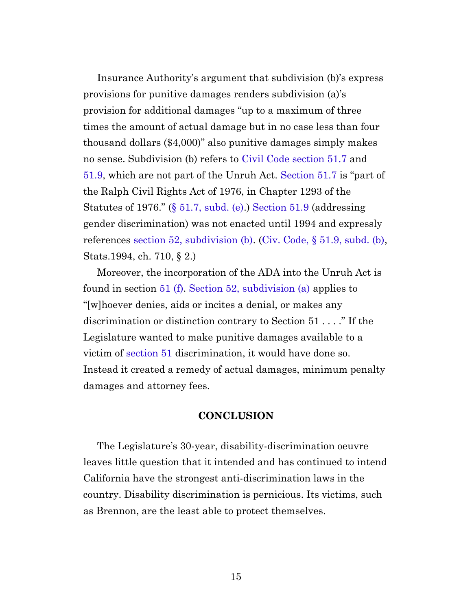Insurance Authority's argument that subdivision (b)'s express provisions for punitive damages renders subdivision (a)'s provision for additional damages "up to a maximum of three times the amount of actual damage but in no case less than four thousand dollars (\$4,000)" also punitive damages simply makes no sense. Subdivision (b) refers to [Civil Code section 51.7](https://leginfo.legislature.ca.gov/faces/codes_displaySection.xhtml?sectionNum=51.7.&lawCode=CIV) and [51.9](https://leginfo.legislature.ca.gov/faces/codes_displaySection.xhtml?sectionNum=51.9.&lawCode=CIV), which are not part of the Unruh Act. [Section 51.7](https://leginfo.legislature.ca.gov/faces/codes_displaySection.xhtml?sectionNum=51.7.&lawCode=CIV) is "part of the Ralph Civil Rights Act of 1976, in Chapter 1293 of the Statutes of 1976." (§ [51.7, subd. \(e\)](https://leginfo.legislature.ca.gov/faces/codes_displaySection.xhtml?sectionNum=51.7.&lawCode=CIV).) [Section 51.9](https://leginfo.legislature.ca.gov/faces/codes_displaySection.xhtml?sectionNum=51.9.&lawCode=CIV) (addressing gender discrimination) was not enacted until 1994 and expressly references [section 52, subdivision \(b\)](https://leginfo.legislature.ca.gov/faces/codes_displaySection.xhtml?sectionNum=52.&lawCode=CIV). (Civ. Code, § [51.9, subd. \(b\),](https://leginfo.legislature.ca.gov/faces/codes_displaySection.xhtml?sectionNum=51.9.&lawCode=CIV) Stats.1994, ch. 710, § 2.)

<span id="page-14-1"></span>Moreover, the incorporation of the ADA into the Unruh Act is found in section [51 \(f\).](https://leginfo.legislature.ca.gov/faces/codes_displaySection.xhtml?sectionNum=51.&lawCode=CIV) [Section 52, subdivision \(a\)](https://leginfo.legislature.ca.gov/faces/codes_displaySection.xhtml?sectionNum=52.&lawCode=CIV) applies to "[w]hoever denies, aids or incites a denial, or makes any discrimination or distinction contrary to Section 51 . . . ." If the Legislature wanted to make punitive damages available to a victim of [section 51](https://leginfo.legislature.ca.gov/faces/codes_displaySection.xhtml?sectionNum=51.&lawCode=CIV) discrimination, it would have done so. Instead it created a remedy of actual damages, minimum penalty damages and attorney fees.

#### **CONCLUSION**

<span id="page-14-0"></span>The Legislature's 30-year, disability-discrimination oeuvre leaves little question that it intended and has continued to intend California have the strongest anti-discrimination laws in the country. Disability discrimination is pernicious. Its victims, such as Brennon, are the least able to protect themselves.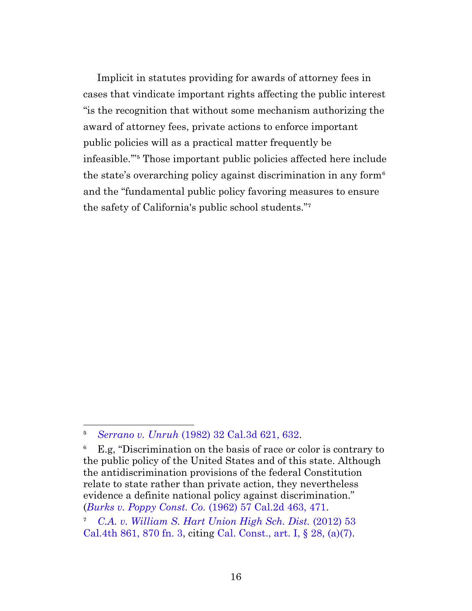Implicit in statutes providing for awards of attorney fees in cases that vindicate important rights affecting the public interest "is the recognition that without some mechanism authorizing the award of attorney fees, private actions to enforce important public policies will as a practical matter frequently be infeasible."<sup>5</sup> Those important public policies affected here include the state's overarching policy against discrimination in any form<sup> $\epsilon$ </sup> and the "fundamental public policy favoring measures to ensure the safety of California's public school students."<sup>7</sup>

⁵ *Serrano v. Unruh* [\(1982\) 32 Cal.3d 621, 632](https://casetext.com/case/serrano-v-unruh#p632).

<sup>&</sup>lt;sup>6</sup> E.g. "Discrimination on the basis of race or color is contrary to the public policy of the United States and of this state. Although the antidiscrimination provisions of the federal Constitution relate to state rather than private action, they nevertheless evidence a definite national policy against discrimination." (*[Burks v. Poppy Const. Co.](https://casetext.com/case/burks-v-poppy-construction-co#p471)* (1962) 57 Cal.2d 463, 471.

⁷ *[C.A. v. William S. Hart Union High Sch. Dist.](https://casetext.com/case/ca-v-william-s-hart-union-high-sch-dist#p870)* (2012) 53 [Cal.4th 861, 870 fn. 3](https://casetext.com/case/ca-v-william-s-hart-union-high-sch-dist#p870), citing [Cal. Const., art. I, §](https://leginfo.legislature.ca.gov/faces/codes_displaySection.xhtml?lawCode=CONS§ionNum=SEC.%2028.&article=I) 28, (a)(7).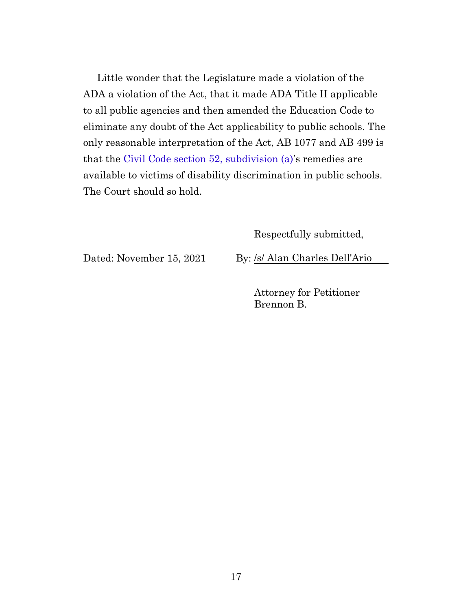Little wonder that the Legislature made a violation of the ADA a violation of the Act, that it made ADA Title II applicable to all public agencies and then amended the Education Code to eliminate any doubt of the Act applicability to public schools. The only reasonable interpretation of the Act, AB 1077 and AB 499 is that the [Civil Code section 52, subdivision \(a\)'](https://leginfo.legislature.ca.gov/faces/codes_displaySection.xhtml?sectionNum=52.&lawCode=CIV)s remedies are available to victims of disability discrimination in public schools. The Court should so hold.

Respectfully submitted,

Dated: November 15, 2021 By: /s/ Alan Charles Dell'Ario

Attorney for Petitioner Brennon B.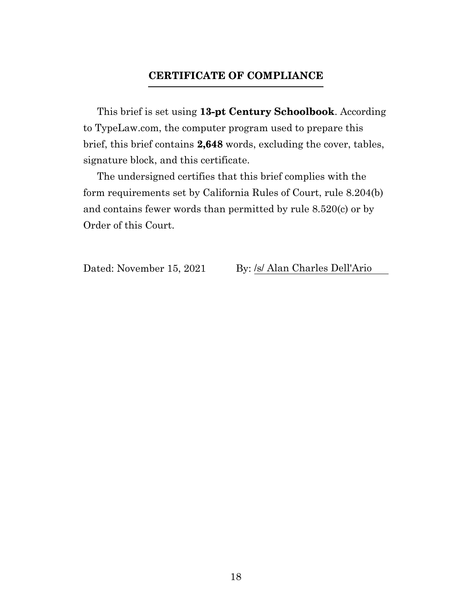## **CERTIFICATE OF COMPLIANCE**

<span id="page-17-0"></span>This brief is set using **13-pt Century Schoolbook**. According to TypeLaw.com, the computer program used to prepare this brief, this brief contains **2,648** words, excluding the cover, tables, signature block, and this certificate.

The undersigned certifies that this brief complies with the form requirements set by California Rules of Court, rule 8.204(b) and contains fewer words than permitted by rule 8.520(c) or by Order of this Court.

Dated: November 15, 2021 By: /s/ Alan Charles Dell'Ario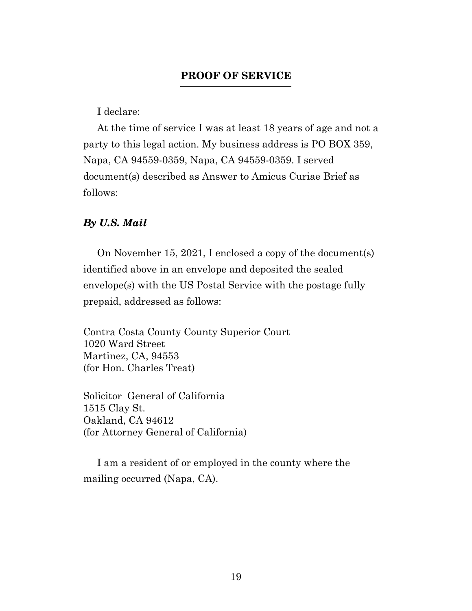## **PROOF OF SERVICE**

I declare:

<span id="page-18-0"></span>At the time of service I was at least 18 years of age and not a party to this legal action. My business address is PO BOX 359, Napa, CA 94559-0359, Napa, CA 94559-0359. I served document(s) described as Answer to Amicus Curiae Brief as follows:

### *By U.S. Mail*

On November 15, 2021, I enclosed a copy of the document(s) identified above in an envelope and deposited the sealed envelope(s) with the US Postal Service with the postage fully prepaid, addressed as follows:

Contra Costa County County Superior Court 1020 Ward Street Martinez, CA, 94553 (for Hon. Charles Treat)

Solicitor General of California 1515 Clay St. Oakland, CA 94612 (for Attorney General of California)

I am a resident of or employed in the county where the mailing occurred (Napa, CA).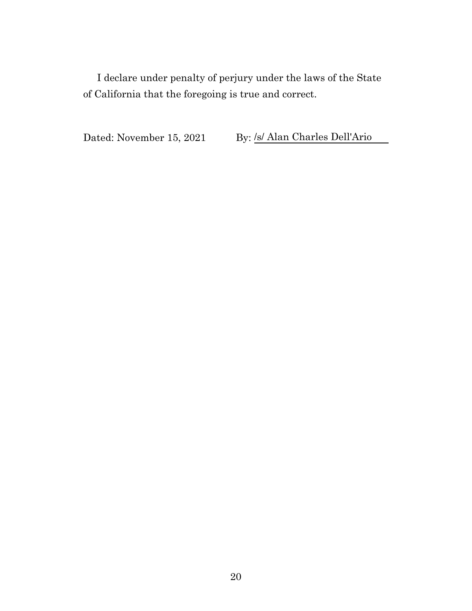I declare under penalty of perjury under the laws of the State of California that the foregoing is true and correct.

Dated: November 15, 2021 By: /s/ Alan Charles Dell'Ario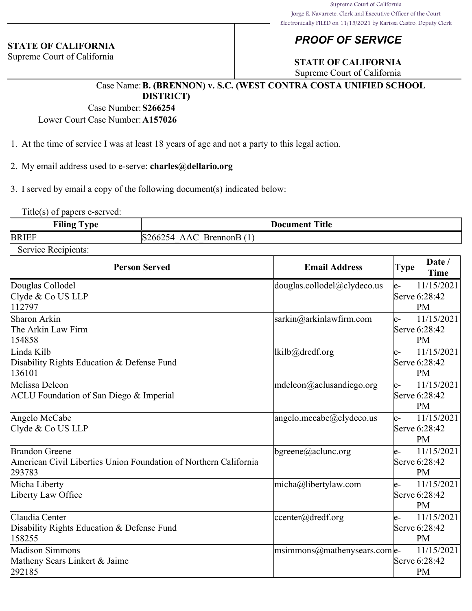#### **STATE OF CALIFORNIA**

Supreme Court of California

## *PROOF OF SERVICE*

## **STATE OF CALIFORNIA**

Supreme Court of California

#### Case Name:**B. (BRENNON) v. S.C. (WEST CONTRA COSTA UNIFIED SCHOOL DISTRICT)**

Case Number:**S266254**

Lower Court Case Number:**A157026**

- 1. At the time of service I was at least 18 years of age and not a party to this legal action.
- 2. My email address used to e-serve: **charles@dellario.org**
- 3. I served by email a copy of the following document(s) indicated below:

Title(s) of papers e-served:

| <b>Filing</b>        | Title                                                                               |
|----------------------|-------------------------------------------------------------------------------------|
| $T_{\rm T}$ $\Omega$ | Document                                                                            |
| -                    |                                                                                     |
| <b>BRIEF</b>         | IS<br>$\Lambda$ $\blacksquare$<br>rennon.<br>'bb.<br>¬д<br>$\overline{\phantom{a}}$ |

Service Recipients:

| <b>Person Served</b>                                                                         | <b>Email Address</b>                 | <b>Type</b> | Date /<br><b>Time</b>             |
|----------------------------------------------------------------------------------------------|--------------------------------------|-------------|-----------------------------------|
| Douglas Collodel<br>Clyde & Co US LLP<br>112797                                              | douglas.collodel@clydeco.us          | e-          | 11/15/2021<br>Serve 6:28:42<br>PM |
| Sharon Arkin<br>The Arkin Law Firm<br>154858                                                 | sarkin@arkinlawfirm.com              | le-         | 11/15/2021<br>Serve 6:28:42<br>PM |
| Linda Kilb<br>Disability Rights Education & Defense Fund<br>136101                           | lkilb@dredf.org                      | le-         | 11/15/2021<br>Serve 6:28:42<br>PM |
| Melissa Deleon<br>ACLU Foundation of San Diego & Imperial                                    | mdeleon@aclusandiego.org             | le-         | 11/15/2021<br>Serve 6:28:42<br>PM |
| Angelo McCabe<br>Clyde & Co US LLP                                                           | angelo.mccabe@clydeco.us             | le-         | 11/15/2021<br>Serve 6:28:42<br>PM |
| Brandon Greene<br>American Civil Liberties Union Foundation of Northern California<br>293783 | $\beta$ bgreene@aclunc.org           | le-         | 11/15/2021<br>Serve 6:28:42<br>PM |
| Micha Liberty<br>Liberty Law Office                                                          | $micha@$ libertylaw.com              | le-         | 11/15/2021<br>Servel6:28:42<br>PM |
| Claudia Center<br>Disability Rights Education & Defense Fund<br>158255                       | center@dredf.org                     | e-          | 11/15/2021<br>Serve 6:28:42<br>PM |
| Madison Simmons<br>Matheny Sears Linkert & Jaime<br>292185                                   | $ $ msimmons@mathenysears.com $ $ e- |             | 11/15/2021<br>Serve 6:28:42<br>PM |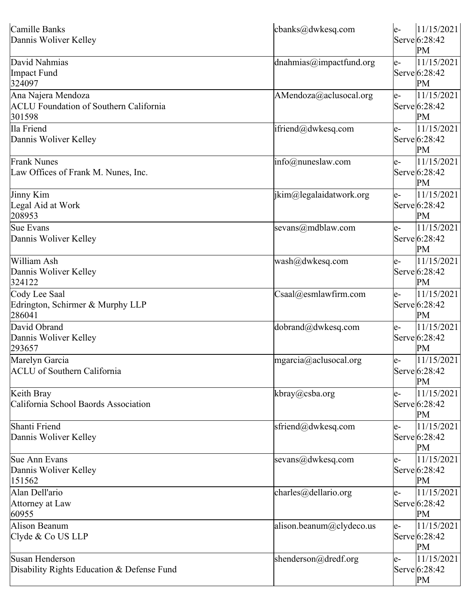| Camille Banks<br>Dannis Woliver Kelley                                        | cbanks@dwkesq.com                                | 11/15/2021<br>le-<br>Serve 6:28:42<br>PМ    |
|-------------------------------------------------------------------------------|--------------------------------------------------|---------------------------------------------|
| David Nahmias<br>Impact Fund<br>324097                                        | dnahmias@impactfund.org                          | 11/15/2021<br>e-<br>Serve 6:28:42<br>PМ     |
| Ana Najera Mendoza<br><b>ACLU</b> Foundation of Southern California<br>301598 | $A$ Mendoza $\omega$ aclusocal.org               | 11/15/2021<br>e-<br>Serve 6:28:42<br>PM     |
| Ila Friend<br>Dannis Woliver Kelley                                           | ifriend@dwkesq.com                               | 11/15/2021<br>e-<br>Serve 6:28:42<br>PM     |
| <b>Frank Nunes</b><br>Law Offices of Frank M. Nunes, Inc.                     | $info(\omega)$ nuneslaw.com                      | 11/15/2021<br>$e-$<br>Serve 6:28:42<br>PM   |
| Jinny Kim<br>Legal Aid at Work<br>208953                                      | $\lim_{\omega}$ ikim $\omega$ legalaidatwork.org | 11/15/2021<br>e-<br>Serve 6:28:42<br>PМ     |
| Sue Evans<br>Dannis Woliver Kelley                                            | sevans@mdblaw.com                                | 11/15/2021<br>$e-$<br>Serve $6:28:42$<br>PМ |
| William Ash<br>Dannis Woliver Kelley<br>324122                                | wash@dwkesq.com                                  | 11/15/2021<br>e-<br>Serve 6:28:42<br>PM     |
| Cody Lee Saal<br>Edrington, Schirmer & Murphy LLP<br>286041                   | $\text{Csaal@esmlawfirm.com}$                    | 11/15/2021<br>le-<br>Serve 6:28:42<br>PМ    |
| David Obrand<br>Dannis Woliver Kelley<br>293657                               | dobrand@dwkesq.com                               | 11/15/2021<br>e-<br>Serve 6:28:42<br>PM     |
| Marelyn Garcia<br><b>ACLU</b> of Southern California                          | mgarcia@aclusocal.org                            | 11/15/2021<br>e-<br>Serve 6:28:42<br>PM     |
| Keith Bray<br>California School Baords Association                            | kbray@csba.org                                   | 11/15/2021<br>$e-$<br>Serve 6:28:42<br>PM   |
| Shanti Friend<br>Dannis Woliver Kelley                                        | sfriend@dwkesq.com                               | 11/15/2021<br>e-<br>Serve 6:28:42<br>PM     |
| Sue Ann Evans<br>Dannis Woliver Kelley<br>151562                              | sevans@dwkesq.com                                | 11/15/2021<br>e-<br>Serve 6:28:42<br>PM     |
| Alan Dell'ario<br>Attorney at Law<br>60955                                    | charles@dellario.org                             | 11/15/2021<br>e-<br>Serve 6:28:42<br>PM     |
| <b>Alison Beanum</b><br>Clyde & Co US LLP                                     | alison.beanum@clydeco.us                         | 11/15/2021<br>e-<br>Serve 6:28:42<br>PM     |
| Susan Henderson<br>Disability Rights Education & Defense Fund                 | shenderson@dredf.org                             | 11/15/2021<br>$e-$<br>Serve 6:28:42<br>PM   |